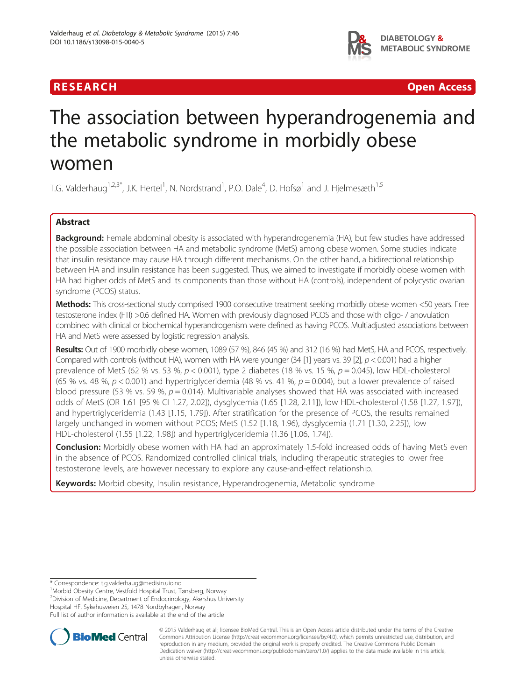## **RESEARCH CHINESE ARCH CHINESE ARCH CHINESE ARCH <b>CHINESE ARCH CHINESE ARCH CHINESE ARCH <b>CHINESE** ARCH **CHINESE ARCH** CHINESE ARCH **CHINESE ARCH 2014**



# The association between hyperandrogenemia and the metabolic syndrome in morbidly obese women

T.G. Valderhaug<sup>1,2,3\*</sup>, J.K. Hertel<sup>1</sup>, N. Nordstrand<sup>1</sup>, P.O. Dale<sup>4</sup>, D. Hofsø<sup>1</sup> and J. Hjelmesæth<sup>1,5</sup>

## Abstract

Background: Female abdominal obesity is associated with hyperandrogenemia (HA), but few studies have addressed the possible association between HA and metabolic syndrome (MetS) among obese women. Some studies indicate that insulin resistance may cause HA through different mechanisms. On the other hand, a bidirectional relationship between HA and insulin resistance has been suggested. Thus, we aimed to investigate if morbidly obese women with HA had higher odds of MetS and its components than those without HA (controls), independent of polycystic ovarian syndrome (PCOS) status.

Methods: This cross-sectional study comprised 1900 consecutive treatment seeking morbidly obese women <50 years. Free testosterone index (FTI) >0.6 defined HA. Women with previously diagnosed PCOS and those with oligo- / anovulation combined with clinical or biochemical hyperandrogenism were defined as having PCOS. Multiadjusted associations between HA and MetS were assessed by logistic regression analysis.

Results: Out of 1900 morbidly obese women, 1089 (57 %), 846 (45 %) and 312 (16 %) had MetS, HA and PCOS, respectively. Compared with controls (without HA), women with HA were younger  $(34 [1]$  years vs. 39 [2],  $p < 0.001$ ) had a higher prevalence of MetS (62 % vs. 53 %,  $p < 0.001$ ), type 2 diabetes (18 % vs. 15 %,  $p = 0.045$ ), low HDL-cholesterol (65 % vs. 48 %,  $p < 0.001$ ) and hypertriglyceridemia (48 % vs. 41 %,  $p = 0.004$ ), but a lower prevalence of raised blood pressure (53 % vs. 59 %,  $p = 0.014$ ). Multivariable analyses showed that HA was associated with increased odds of MetS (OR 1.61 [95 % CI 1.27, 2.02]), dysglycemia (1.65 [1.28, 2.11]), low HDL-cholesterol (1.58 [1.27, 1.97]), and hypertriglyceridemia (1.43 [1.15, 1.79]). After stratification for the presence of PCOS, the results remained largely unchanged in women without PCOS; MetS (1.52 [1.18, 1.96), dysglycemia (1.71 [1.30, 2.25]), low HDL-cholesterol (1.55 [1.22, 1.98]) and hypertriglyceridemia (1.36 [1.06, 1.74]).

**Conclusion:** Morbidly obese women with HA had an approximately 1.5-fold increased odds of having MetS even in the absence of PCOS. Randomized controlled clinical trials, including therapeutic strategies to lower free testosterone levels, are however necessary to explore any cause-and-effect relationship.

Keywords: Morbid obesity, Insulin resistance, Hyperandrogenemia, Metabolic syndrome

\* Correspondence: [t.g.valderhaug@medisin.uio.no](mailto:t.g.valderhaug@medisin.uio.no) <sup>1</sup>

Morbid Obesity Centre, Vestfold Hospital Trust, Tønsberg, Norway

2 Division of Medicine, Department of Endocrinology, Akershus University

Hospital HF, Sykehusveien 25, 1478 Nordbyhagen, Norway

Full list of author information is available at the end of the article



© 2015 Valderhaug et al.; licensee BioMed Central. This is an Open Access article distributed under the terms of the Creative Commons Attribution License [\(http://creativecommons.org/licenses/by/4.0\)](http://creativecommons.org/licenses/by/4.0), which permits unrestricted use, distribution, and reproduction in any medium, provided the original work is properly credited. The Creative Commons Public Domain Dedication waiver [\(http://creativecommons.org/publicdomain/zero/1.0/](http://creativecommons.org/publicdomain/zero/1.0/)) applies to the data made available in this article, unless otherwise stated.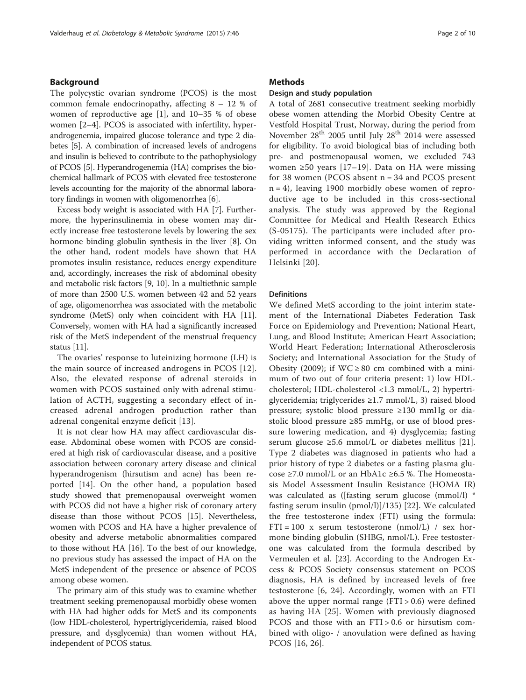## Background

The polycystic ovarian syndrome (PCOS) is the most common female endocrinopathy, affecting 8 – 12 % of women of reproductive age [\[1](#page-8-0)], and 10–35 % of obese women [\[2](#page-8-0)–[4\]](#page-8-0). PCOS is associated with infertility, hyperandrogenemia, impaired glucose tolerance and type 2 diabetes [[5](#page-8-0)]. A combination of increased levels of androgens and insulin is believed to contribute to the pathophysiology of PCOS [\[5](#page-8-0)]. Hyperandrogenemia (HA) comprises the biochemical hallmark of PCOS with elevated free testosterone levels accounting for the majority of the abnormal laboratory findings in women with oligomenorrhea [\[6](#page-8-0)].

Excess body weight is associated with HA [\[7](#page-8-0)]. Furthermore, the hyperinsulinemia in obese women may directly increase free testosterone levels by lowering the sex hormone binding globulin synthesis in the liver [\[8](#page-8-0)]. On the other hand, rodent models have shown that HA promotes insulin resistance, reduces energy expenditure and, accordingly, increases the risk of abdominal obesity and metabolic risk factors [[9, 10](#page-9-0)]. In a multiethnic sample of more than 2500 U.S. women between 42 and 52 years of age, oligomenorrhea was associated with the metabolic syndrome (MetS) only when coincident with HA [[11](#page-9-0)]. Conversely, women with HA had a significantly increased risk of the MetS independent of the menstrual frequency status [\[11](#page-9-0)].

The ovaries' response to luteinizing hormone (LH) is the main source of increased androgens in PCOS [[12](#page-9-0)]. Also, the elevated response of adrenal steroids in women with PCOS sustained only with adrenal stimulation of ACTH, suggesting a secondary effect of increased adrenal androgen production rather than adrenal congenital enzyme deficit [[13](#page-9-0)].

It is not clear how HA may affect cardiovascular disease. Abdominal obese women with PCOS are considered at high risk of cardiovascular disease, and a positive association between coronary artery disease and clinical hyperandrogenism (hirsutism and acne) has been reported [[14](#page-9-0)]. On the other hand, a population based study showed that premenopausal overweight women with PCOS did not have a higher risk of coronary artery disease than those without PCOS [\[15\]](#page-9-0). Nevertheless, women with PCOS and HA have a higher prevalence of obesity and adverse metabolic abnormalities compared to those without HA [\[16](#page-9-0)]. To the best of our knowledge, no previous study has assessed the impact of HA on the MetS independent of the presence or absence of PCOS among obese women.

The primary aim of this study was to examine whether treatment seeking premenopausal morbidly obese women with HA had higher odds for MetS and its components (low HDL-cholesterol, hypertriglyceridemia, raised blood pressure, and dysglycemia) than women without HA, independent of PCOS status.

## **Methods**

## Design and study population

A total of 2681 consecutive treatment seeking morbidly obese women attending the Morbid Obesity Centre at Vestfold Hospital Trust, Norway, during the period from November 28<sup>th</sup> 2005 until July 28<sup>th</sup> 2014 were assessed for eligibility. To avoid biological bias of including both pre- and postmenopausal women, we excluded 743 women ≥50 years [\[17](#page-9-0)–[19\]](#page-9-0). Data on HA were missing for 38 women (PCOS absent n = 34 and PCOS present  $n = 4$ ), leaving 1900 morbidly obese women of reproductive age to be included in this cross-sectional analysis. The study was approved by the Regional Committee for Medical and Health Research Ethics (S-05175). The participants were included after providing written informed consent, and the study was performed in accordance with the Declaration of Helsinki [\[20\]](#page-9-0).

### **Definitions**

We defined MetS according to the joint interim statement of the International Diabetes Federation Task Force on Epidemiology and Prevention; National Heart, Lung, and Blood Institute; American Heart Association; World Heart Federation; International Atherosclerosis Society; and International Association for the Study of Obesity (2009); if  $WC \ge 80$  cm combined with a minimum of two out of four criteria present: 1) low HDLcholesterol; HDL-cholesterol <1.3 mmol/L, 2) hypertriglyceridemia; triglycerides ≥1.7 mmol/L, 3) raised blood pressure; systolic blood pressure ≥130 mmHg or diastolic blood pressure ≥85 mmHg, or use of blood pressure lowering medication, and 4) dysglycemia; fasting serum glucose ≥5.6 mmol/L or diabetes mellitus [[21](#page-9-0)]. Type 2 diabetes was diagnosed in patients who had a prior history of type 2 diabetes or a fasting plasma glucose ≥7.0 mmol/L or an HbA1c ≥6.5 %. The Homeostasis Model Assessment Insulin Resistance (HOMA IR) was calculated as ([fasting serum glucose (mmol/l) \* fasting serum insulin (pmol/l)]/135) [[22\]](#page-9-0). We calculated the free testosterone index (FTI) using the formula:  $FTI = 100$  x serum testosterone (nmol/L) / sex hormone binding globulin (SHBG, nmol/L). Free testosterone was calculated from the formula described by Vermeulen et al. [[23\]](#page-9-0). According to the Androgen Excess & PCOS Society consensus statement on PCOS diagnosis, HA is defined by increased levels of free testosterone [[6](#page-8-0), [24\]](#page-9-0). Accordingly, women with an FTI above the upper normal range  $(FTI > 0.6)$  were defined as having HA [[25\]](#page-9-0). Women with previously diagnosed PCOS and those with an FTI > 0.6 or hirsutism combined with oligo- / anovulation were defined as having PCOS [\[16](#page-9-0), [26\]](#page-9-0).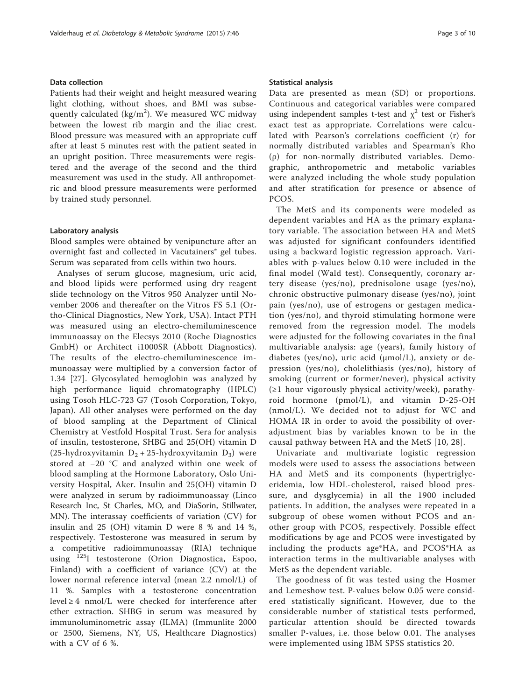#### Data collection

Patients had their weight and height measured wearing light clothing, without shoes, and BMI was subsequently calculated (kg/m<sup>2</sup>). We measured WC midway between the lowest rib margin and the iliac crest. Blood pressure was measured with an appropriate cuff after at least 5 minutes rest with the patient seated in an upright position. Three measurements were registered and the average of the second and the third measurement was used in the study. All anthropometric and blood pressure measurements were performed by trained study personnel.

#### Laboratory analysis

Blood samples were obtained by venipuncture after an overnight fast and collected in Vacutainers® gel tubes. Serum was separated from cells within two hours.

Analyses of serum glucose, magnesium, uric acid, and blood lipids were performed using dry reagent slide technology on the Vitros 950 Analyzer until November 2006 and thereafter on the Vitros FS 5.1 (Ortho-Clinical Diagnostics, New York, USA). Intact PTH was measured using an electro-chemiluminescence immunoassay on the Elecsys 2010 (Roche Diagnostics GmbH) or Architect i1000SR (Abbott Diagnostics). The results of the electro-chemiluminescence immunoassay were multiplied by a conversion factor of 1.34 [[27\]](#page-9-0). Glycosylated hemoglobin was analyzed by high performance liquid chromatography (HPLC) using Tosoh HLC-723 G7 (Tosoh Corporation, Tokyo, Japan). All other analyses were performed on the day of blood sampling at the Department of Clinical Chemistry at Vestfold Hospital Trust. Sera for analysis of insulin, testosterone, SHBG and 25(OH) vitamin D (25-hydroxyvitamin  $D_2 + 25$ -hydroxyvitamin  $D_3$ ) were stored at −20 °C and analyzed within one week of blood sampling at the Hormone Laboratory, Oslo University Hospital, Aker. Insulin and 25(OH) vitamin D were analyzed in serum by radioimmunoassay (Linco Research Inc, St Charles, MO, and DiaSorin, Stillwater, MN). The interassay coefficients of variation (CV) for insulin and 25 (OH) vitamin D were 8 % and 14 %, respectively. Testosterone was measured in serum by a competitive radioimmunoassay (RIA) technique using 125I testosterone (Orion Diagnostica, Espoo, Finland) with a coefficient of variance (CV) at the lower normal reference interval (mean 2.2 nmol/L) of 11 %. Samples with a testosterone concentration level  $\geq 4$  nmol/L were checked for interference after ether extraction. SHBG in serum was measured by immunoluminometric assay (ILMA) (Immunlite 2000 or 2500, Siemens, NY, US, Healthcare Diagnostics) with a CV of 6 %.

#### Statistical analysis

Data are presented as mean (SD) or proportions. Continuous and categorical variables were compared using independent samples t-test and  $\chi^2$  test or Fisher's exact test as appropriate. Correlations were calculated with Pearson's correlations coefficient (r) for normally distributed variables and Spearman's Rho (ρ) for non-normally distributed variables. Demographic, anthropometric and metabolic variables were analyzed including the whole study population and after stratification for presence or absence of PCOS.

The MetS and its components were modeled as dependent variables and HA as the primary explanatory variable. The association between HA and MetS was adjusted for significant confounders identified using a backward logistic regression approach. Variables with p-values below 0.10 were included in the final model (Wald test). Consequently, coronary artery disease (yes/no), prednisolone usage (yes/no), chronic obstructive pulmonary disease (yes/no), joint pain (yes/no), use of estrogens or gestagen medication (yes/no), and thyroid stimulating hormone were removed from the regression model. The models were adjusted for the following covariates in the final multivariable analysis: age (years), family history of diabetes (yes/no), uric acid (μmol/L), anxiety or depression (yes/no), cholelithiasis (yes/no), history of smoking (current or former/never), physical activity  $(\geq 1$  hour vigorously physical activity/week), parathyroid hormone (pmol/L), and vitamin D-25-OH (nmol/L). We decided not to adjust for WC and HOMA IR in order to avoid the possibility of overadjustment bias by variables known to be in the causal pathway between HA and the MetS [[10](#page-9-0), [28](#page-9-0)].

Univariate and multivariate logistic regression models were used to assess the associations between HA and MetS and its components (hypertriglyceridemia, low HDL-cholesterol, raised blood pressure, and dysglycemia) in all the 1900 included patients. In addition, the analyses were repeated in a subgroup of obese women without PCOS and another group with PCOS, respectively. Possible effect modifications by age and PCOS were investigated by including the products age\*HA, and PCOS\*HA as interaction terms in the multivariable analyses with MetS as the dependent variable.

The goodness of fit was tested using the Hosmer and Lemeshow test. P-values below 0.05 were considered statistically significant. However, due to the considerable number of statistical tests performed, particular attention should be directed towards smaller P-values, i.e. those below 0.01. The analyses were implemented using IBM SPSS statistics 20.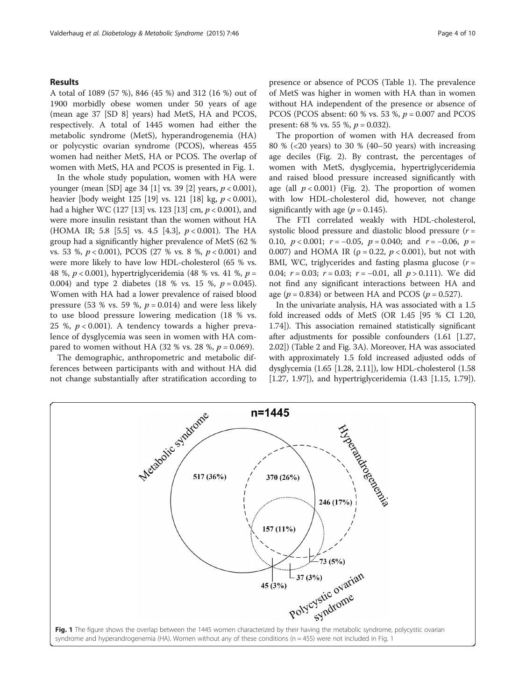## Results

A total of 1089 (57 %), 846 (45 %) and 312 (16 %) out of 1900 morbidly obese women under 50 years of age (mean age 37 [SD 8] years) had MetS, HA and PCOS, respectively. A total of 1445 women had either the metabolic syndrome (MetS), hyperandrogenemia (HA) or polycystic ovarian syndrome (PCOS), whereas 455 women had neither MetS, HA or PCOS. The overlap of women with MetS, HA and PCOS is presented in Fig. 1.

In the whole study population, women with HA were younger (mean [SD] age 34 [\[1](#page-8-0)] vs. 39 [\[2](#page-8-0)] years,  $p < 0.001$ ), heavier [body weight 125 [[19](#page-9-0)] vs. 121 [\[18\]](#page-9-0) kg,  $p < 0.001$ ), had a higher WC (127 [\[13](#page-9-0)] vs. 123 [\[13\]](#page-9-0) cm,  $p < 0.001$ ), and were more insulin resistant than the women without HA (HOMA IR; 5.8 [5.5] vs. 4.5 [4.3],  $p < 0.001$ ). The HA group had a significantly higher prevalence of MetS (62 % vs. 53 %, p < 0.001), PCOS (27 % vs. 8 %, p < 0.001) and were more likely to have low HDL-cholesterol (65 % vs. 48 %, p < 0.001), hypertriglyceridemia (48 % vs. 41 %, p = 0.004) and type 2 diabetes (18 % vs. 15 %,  $p = 0.045$ ). Women with HA had a lower prevalence of raised blood pressure (53 % vs. 59 %,  $p = 0.014$ ) and were less likely to use blood pressure lowering medication (18 % vs. 25 %,  $p < 0.001$ ). A tendency towards a higher prevalence of dysglycemia was seen in women with HA compared to women without HA (32 % vs. 28 %,  $p = 0.069$ ).

The demographic, anthropometric and metabolic differences between participants with and without HA did not change substantially after stratification according to presence or absence of PCOS (Table [1](#page-4-0)). The prevalence of MetS was higher in women with HA than in women without HA independent of the presence or absence of PCOS (PCOS absent: 60 % vs. 53 %,  $p = 0.007$  and PCOS present: 68 % vs. 55 %,  $p = 0.032$ ).

The proportion of women with HA decreased from 80 % (<20 years) to 30 % (40–50 years) with increasing age deciles (Fig. [2](#page-5-0)). By contrast, the percentages of women with MetS, dysglycemia, hypertriglyceridemia and raised blood pressure increased significantly with age (all  $p < 0.001$ ) (Fig. [2\)](#page-5-0). The proportion of women with low HDL-cholesterol did, however, not change significantly with age  $(p = 0.145)$ .

The FTI correlated weakly with HDL-cholesterol, systolic blood pressure and diastolic blood pressure  $(r =$ 0.10,  $p < 0.001$ ;  $r = -0.05$ ,  $p = 0.040$ ; and  $r = -0.06$ ,  $p =$ 0.007) and HOMA IR ( $\rho = 0.22$ ,  $p < 0.001$ ), but not with BMI, WC, triglycerides and fasting plasma glucose  $(r =$ 0.04;  $r = 0.03$ ;  $r = 0.03$ ;  $r = -0.01$ , all  $p > 0.111$ ). We did not find any significant interactions between HA and age ( $p = 0.834$ ) or between HA and PCOS ( $p = 0.527$ ).

In the univariate analysis, HA was associated with a 1.5 fold increased odds of MetS (OR 1.45 [95 % CI 1.20, 1.74]). This association remained statistically significant after adjustments for possible confounders (1.61 [1.27, 2.02]) (Table [2](#page-5-0) and Fig. [3A\)](#page-7-0). Moreover, HA was associated with approximately 1.5 fold increased adjusted odds of dysglycemia (1.65 [1.28, 2.11]), low HDL-cholesterol (1.58 [1.27, 1.97]), and hypertriglyceridemia (1.43 [1.15, 1.79]).

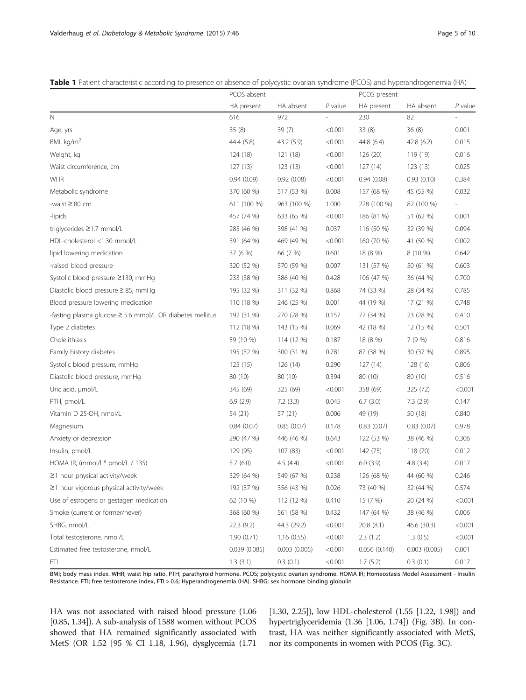<span id="page-4-0"></span>Table 1 Patient characteristic according to presence or absence of polycystic ovarian syndrome (PCOS) and hyperandrogenemia (HA)

|                                                                | PCOS absent  |              |           | PCOS present |              |           |  |  |
|----------------------------------------------------------------|--------------|--------------|-----------|--------------|--------------|-----------|--|--|
|                                                                | HA present   | HA absent    | $P$ value | HA present   | HA absent    | $P$ value |  |  |
| $\mathbb N$                                                    | 616          | 972          |           | 230          | 82           |           |  |  |
| Age, yrs                                                       | 35 (8)       | 39(7)        | < 0.001   | 33 (8)       | 36(8)        | 0.001     |  |  |
| BMI, $kg/m2$                                                   | 44.4 (5.8)   | 43.2 (5.9)   | < 0.001   | 44.8 (6.4)   | 42.8 (6.2)   | 0.015     |  |  |
| Weight, kg                                                     | 124 (18)     | 121 (18)     | < 0.001   | 126 (20)     | 119 (19)     | 0.016     |  |  |
| Waist circumference, cm                                        | 127 (13)     | 123(13)      | < 0.001   | 127(14)      | 123(13)      | 0.025     |  |  |
| <b>WHR</b>                                                     | 0.94(0.09)   | 0.92(0.08)   | < 0.001   | 0.94(0.08)   | 0.93(0.10)   | 0.384     |  |  |
| Metabolic syndrome                                             | 370 (60 %)   | 517 (53 %)   | 0.008     | 157 (68 %)   | 45 (55 %)    | 0.032     |  |  |
| -waist $\geq 80$ cm                                            | 611 (100 %)  | 963 (100 %)  | 1.000     | 228 (100 %)  | 82 (100 %)   |           |  |  |
| -lipids                                                        | 457 (74 %)   | 633 (65 %)   | < 0.001   | 186 (81 %)   | 51 (62 %)    | 0.001     |  |  |
| triglycerides ≥1.7 mmol/L                                      | 285 (46 %)   | 398 (41 %)   | 0.037     | 116 (50 %)   | 32 (39 %)    | 0.094     |  |  |
| HDL-cholesterol <1.30 mmol/L                                   | 391 (64 %)   | 469 (49 %)   | < 0.001   | 160 (70 %)   | 41 (50 %)    | 0.002     |  |  |
| lipid lowering medication                                      | 37 (6 %)     | 66 (7 %)     | 0.601     | 18 (8 %)     | 8 (10 %)     | 0.642     |  |  |
| -raised blood pressure                                         | 320 (52 %)   | 570 (59 %)   | 0.007     | 131 (57 %)   | 50 (61 %)    | 0.603     |  |  |
| Systolic blood pressure ≥130, mmHg                             | 233 (38 %)   | 386 (40 %)   | 0.428     | 106 (47 %)   | 36 (44 %)    | 0.700     |  |  |
| Diastolic blood pressure ≥ 85, mmHg                            | 195 (32 %)   | 311 (32 %)   | 0.868     | 74 (33 %)    | 28 (34 %)    | 0.785     |  |  |
| Blood pressure lowering medication                             | 110 (18 %)   | 246 (25 %)   | 0.001     | 44 (19 %)    | 17 (21 %)    | 0.748     |  |  |
| -fasting plasma glucose $\geq$ 5.6 mmol/L OR diabetes mellitus | 192 (31 %)   | 270 (28 %)   | 0.157     | 77 (34 %)    | 23 (28 %)    | 0.410     |  |  |
| Type 2 diabetes                                                | 112 (18 %)   | 143 (15 %)   | 0.069     | 42 (18 %)    | 12 (15 %)    | 0.501     |  |  |
| Cholelithiasis                                                 | 59 (10 %)    | 114 (12 %)   | 0.187     | 18 (8 %)     | 7(9%)        | 0.816     |  |  |
| Family history diabetes                                        | 195 (32 %)   | 300 (31 %)   | 0.781     | 87 (38 %)    | 30 (37 %)    | 0.895     |  |  |
| Systolic blood pressure, mmHg                                  | 125 (15)     | 126 (14)     | 0.290     | 127(14)      | 128 (16)     | 0.806     |  |  |
| Diastolic blood pressure, mmHg                                 | 80 (10)      | 80 (10)      | 0.394     | 80 (10)      | 80 (10)      | 0.516     |  |  |
| Uric acid, µmol/L                                              | 345 (69)     | 325 (69)     | < 0.001   | 358 (69)     | 325 (72)     | < 0.001   |  |  |
| PTH, pmol/L                                                    | 6.9(2.9)     | 7.2(3.3)     | 0.045     | 6.7(3.0)     | 7.3(2.9)     | 0.147     |  |  |
| Vitamin D 25-OH, nmol/L                                        | 54 (21)      | 57 (21)      | 0.006     | 49 (19)      | 50 (18)      | 0.840     |  |  |
| Magnesium                                                      | 0.84(0.07)   | 0.85(0.07)   | 0.178     | 0.83(0.07)   | 0.83(0.07)   | 0.978     |  |  |
| Anxiety or depression                                          | 290 (47 %)   | 446 (46 %)   | 0.643     | 122 (53 %)   | 38 (46 %)    | 0.306     |  |  |
| Insulin, pmol/L                                                | 129 (95)     | 107(83)      | < 0.001   | 142 (75)     | 118 (70)     | 0.012     |  |  |
| HOMA IR, (mmol/l $*$ pmol/L / 135)                             | 5.7(6.0)     | 4.5(4.4)     | < 0.001   | 6.0(3.9)     | 4.8(3.4)     | 0.017     |  |  |
| ≥1 hour physical activity/week                                 | 329 (64 %)   | 549 (67 %)   | 0.238     | 126 (68 %)   | 44 (60 %)    | 0.246     |  |  |
| ≥1 hour vigorous physical activity/week                        | 192 (37 %)   | 356 (43 %)   | 0.026     | 73 (40 %)    | 32 (44 %)    | 0.574     |  |  |
| Use of estrogens or gestagen medication                        | 62 (10 %)    | 112 (12 %)   | 0.410     | 15 (7 %)     | 20 (24 %)    | < 0.001   |  |  |
| Smoke (current or former/never)                                | 368 (60 %)   | 561 (58 %)   | 0.432     | 147 (64 %)   | 38 (46 %)    | 0.006     |  |  |
| SHBG, nmol/L                                                   | 22.3(9.2)    | 44.3 (29.2)  | < 0.001   | 20.8(8.1)    | 46.6 (30.3)  | < 0.001   |  |  |
| Total testosterone, nmol/L                                     | 1.90(0.71)   | 1.16(0.55)   | < 0.001   | 2.3(1.2)     | 1.3(0.5)     | < 0.001   |  |  |
| Estimated free testosterone, nmol/L                            | 0.039(0.085) | 0.003(0.005) | < 0.001   | 0.056(0.140) | 0.003(0.005) | 0.001     |  |  |
| FTI.                                                           | 1.3(3.1)     | 0.3(0.1)     | < 0.001   | 1.7(5.2)     | 0.3(0.1)     | 0.017     |  |  |

BMI; body mass index. WHR; waist hip ratio. PTH; parathyroid hormone. PCOS; polycystic ovarian syndrome. HOMA IR; Homeostasis Model Assessment - Insulin Resistance. FTI; free testosterone index, FTI > 0.6; Hyperandrogenemia (HA). SHBG; sex hormone binding globulin

HA was not associated with raised blood pressure (1.06 [0.85, 1.34]). A sub-analysis of 1588 women without PCOS showed that HA remained significantly associated with MetS (OR 1.52 [95 % CI 1.18, 1.96), dysglycemia (1.71

[1.30, 2.25]), low HDL-cholesterol (1.55 [1.22, 1.98]) and hypertriglyceridemia (1.36 [1.06, 1.74]) (Fig. [3B\)](#page-7-0). In contrast, HA was neither significantly associated with MetS, nor its components in women with PCOS (Fig. [3C\)](#page-7-0).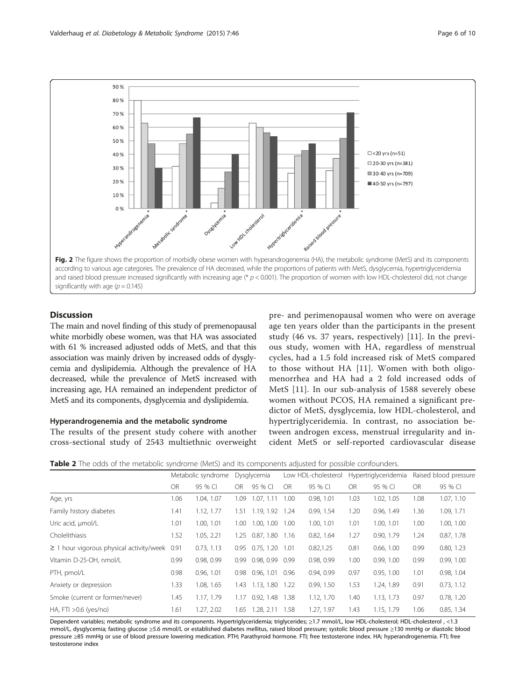<span id="page-5-0"></span>

## **Discussion**

The main and novel finding of this study of premenopausal white morbidly obese women, was that HA was associated with 61 % increased adjusted odds of MetS, and that this association was mainly driven by increased odds of dysglycemia and dyslipidemia. Although the prevalence of HA decreased, while the prevalence of MetS increased with increasing age, HA remained an independent predictor of MetS and its components, dysglycemia and dyslipidemia.

## Hyperandrogenemia and the metabolic syndrome

The results of the present study cohere with another cross-sectional study of 2543 multiethnic overweight pre- and perimenopausal women who were on average age ten years older than the participants in the present study (46 vs. 37 years, respectively) [\[11\]](#page-9-0). In the previous study, women with HA, regardless of menstrual cycles, had a 1.5 fold increased risk of MetS compared to those without HA [[11\]](#page-9-0). Women with both oligomenorrhea and HA had a 2 fold increased odds of MetS [\[11\]](#page-9-0). In our sub-analysis of 1588 severely obese women without PCOS, HA remained a significant predictor of MetS, dysglycemia, low HDL-cholesterol, and hypertriglyceridemia. In contrast, no association between androgen excess, menstrual irregularity and incident MetS or self-reported cardiovascular disease

Table 2 The odds of the metabolic syndrome (MetS) and its components adjusted for possible confounders.

|                                               | Metabolic syndrome |            | Dysglycemia |                   | Low HDL-cholesterol |            | Hypertriglyceridemia |            | Raised blood pressure |            |
|-----------------------------------------------|--------------------|------------|-------------|-------------------|---------------------|------------|----------------------|------------|-----------------------|------------|
|                                               | <b>OR</b>          | 95 % CI    | OR.         | 95 % CI           | <b>OR</b>           | 95 % CI    | <b>OR</b>            | 95 % CI    | <b>OR</b>             | 95 % CI    |
| Age, yrs                                      | 1.06               | 1.04, 1.07 | 1.09        | 1.07, 1.11        | 1.00                | 0.98, 1.01 | 1.03                 | 1.02, 1.05 | 1.08                  | 1.07, 1.10 |
| Family history diabetes                       | 1.41               | 1.12, 1.77 | 1.51        | 1.19, 1.92 1.24   |                     | 0.99, 1.54 | 1.20                 | 0.96, 1.49 | 1.36                  | 1.09, 1.71 |
| Uric acid, umol/L                             | 1.01               | 1.00, 1.01 | 1.00        | 1.00, 1.00        | 1.00                | 1.00, 1.01 | 1.01                 | 1.00, 1.01 | 1.00                  | 1.00, 1.00 |
| Cholelithiasis                                | 1.52               | 1.05, 2.21 | 1.25        | $0.87, 1.80$ 1.16 |                     | 0.82, 1.64 | 1.27                 | 0.90, 1.79 | 1.24                  | 0.87, 1.78 |
| $\geq$ 1 hour vigorous physical activity/week | 0.91               | 0.73, 1.13 | 0.95        | 0.75.1.20         | 1.01                | 0.82, 1.25 | 0.81                 | 0.66, 1.00 | 0.99                  | 0.80, 1.23 |
| Vitamin D-25-OH, nmol/L                       | 0.99               | 0.98, 0.99 | 0.99        | 0.98, 0.99        | 0.99                | 0.98, 0.99 | 1.00                 | 0.99, 1.00 | 0.99                  | 0.99, 1.00 |
| PTH, pmol/L                                   | 0.98               | 0.96, 1.01 | 0.98        | 0.96, 1.01        | 0.96                | 0.94, 0.99 | 0.97                 | 0.95, 1.00 | 1.01                  | 0.98, 1.04 |
| Anxiety or depression                         | 1.33               | 1.08, 1.65 | 1.43        | 1.13, 1.80        | 1.22                | 0.99, 1.50 | 1.53                 | 1.24, 1.89 | 0.91                  | 0.73, 1.12 |
| Smoke (current or former/never)               | 1.45               | 1.17, 1.79 | 1.17        | 0.92, 1.48        | 1.38                | 1.12, 1.70 | 1.40                 | 1.13, 1.73 | 0.97                  | 0.78, 1.20 |
| HA, FTI $>0.6$ (yes/no)                       | 1.61               | 1.27, 2.02 | 1.65        | 1.28, 2.11        | 1.58                | 1.27, 1.97 | 1.43                 | 1.15, 1.79 | 1.06                  | 0.85, 1.34 |

Dependent variables; metabolic syndrome and its components. Hypertriglyceridemia; triglycerides; ≥1.7 mmol/L, low HDL-cholesterol; HDL-cholesterol , <1.3 mmol/L, dysglycemia; fasting glucose ≥5.6 mmol/L or established diabetes mellitus, raised blood pressure; systolic blood pressure ≥130 mmHg or diastolic blood pressure ≥85 mmHg or use of blood pressure lowering medication. PTH; Parathyroid hormone. FTI; free testosterone index. HA; hyperandrogenemia. FTI; free testosterone index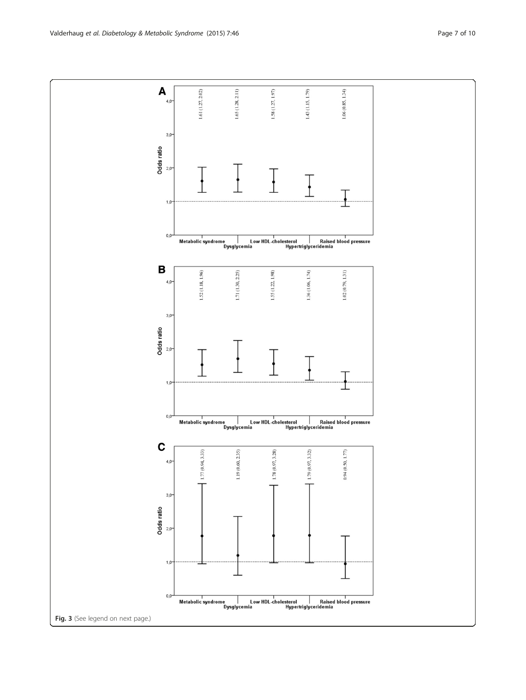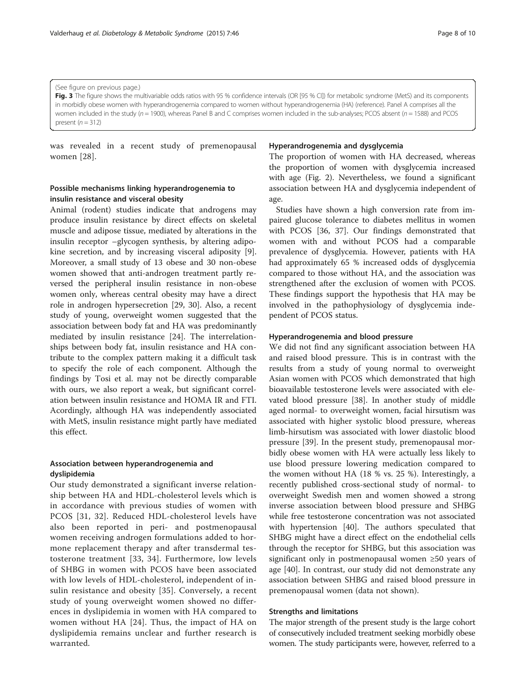#### <span id="page-7-0"></span>(See figure on previous page.)

Fig. 3 The figure shows the multivariable odds ratios with 95 % confidence intervals (OR [95 % CII) for metabolic syndrome (MetS) and its components in morbidly obese women with hyperandrogenemia compared to women without hyperandrogenemia (HA) (reference). Panel A comprises all the women included in the study ( $n = 1900$ ), whereas Panel B and C comprises women included in the sub-analyses; PCOS absent ( $n = 1588$ ) and PCOS present  $(n = 312)$ 

was revealed in a recent study of premenopausal women [[28\]](#page-9-0).

## Possible mechanisms linking hyperandrogenemia to insulin resistance and visceral obesity

Animal (rodent) studies indicate that androgens may produce insulin resistance by direct effects on skeletal muscle and adipose tissue, mediated by alterations in the insulin receptor –glycogen synthesis, by altering adipokine secretion, and by increasing visceral adiposity [\[9](#page-9-0)]. Moreover, a small study of 13 obese and 30 non-obese women showed that anti-androgen treatment partly reversed the peripheral insulin resistance in non-obese women only, whereas central obesity may have a direct role in androgen hypersecretion [\[29](#page-9-0), [30](#page-9-0)]. Also, a recent study of young, overweight women suggested that the association between body fat and HA was predominantly mediated by insulin resistance [[24\]](#page-9-0). The interrelationships between body fat, insulin resistance and HA contribute to the complex pattern making it a difficult task to specify the role of each component. Although the findings by Tosi et al. may not be directly comparable with ours, we also report a weak, but significant correlation between insulin resistance and HOMA IR and FTI. Acordingly, although HA was independently associated with MetS, insulin resistance might partly have mediated this effect.

## Association between hyperandrogenemia and dyslipidemia

Our study demonstrated a significant inverse relationship between HA and HDL-cholesterol levels which is in accordance with previous studies of women with PCOS [[31](#page-9-0), [32](#page-9-0)]. Reduced HDL-cholesterol levels have also been reported in peri- and postmenopausal women receiving androgen formulations added to hormone replacement therapy and after transdermal testosterone treatment [[33](#page-9-0), [34](#page-9-0)]. Furthermore, low levels of SHBG in women with PCOS have been associated with low levels of HDL-cholesterol, independent of insulin resistance and obesity [\[35](#page-9-0)]. Conversely, a recent study of young overweight women showed no differences in dyslipidemia in women with HA compared to women without HA [[24\]](#page-9-0). Thus, the impact of HA on dyslipidemia remains unclear and further research is warranted.

## Hyperandrogenemia and dysglycemia

The proportion of women with HA decreased, whereas the proportion of women with dysglycemia increased with age (Fig. [2](#page-5-0)). Nevertheless, we found a significant association between HA and dysglycemia independent of age.

Studies have shown a high conversion rate from impaired glucose tolerance to diabetes mellitus in women with PCOS [[36, 37](#page-9-0)]. Our findings demonstrated that women with and without PCOS had a comparable prevalence of dysglycemia. However, patients with HA had approximately 65 % increased odds of dysglycemia compared to those without HA, and the association was strengthened after the exclusion of women with PCOS. These findings support the hypothesis that HA may be involved in the pathophysiology of dysglycemia independent of PCOS status.

## Hyperandrogenemia and blood pressure

We did not find any significant association between HA and raised blood pressure. This is in contrast with the results from a study of young normal to overweight Asian women with PCOS which demonstrated that high bioavailable testosterone levels were associated with elevated blood pressure [\[38](#page-9-0)]. In another study of middle aged normal- to overweight women, facial hirsutism was associated with higher systolic blood pressure, whereas limb-hirsutism was associated with lower diastolic blood pressure [\[39](#page-9-0)]. In the present study, premenopausal morbidly obese women with HA were actually less likely to use blood pressure lowering medication compared to the women without HA (18 % vs. 25 %). Interestingly, a recently published cross-sectional study of normal- to overweight Swedish men and women showed a strong inverse association between blood pressure and SHBG while free testosterone concentration was not associated with hypertension [[40](#page-9-0)]. The authors speculated that SHBG might have a direct effect on the endothelial cells through the receptor for SHBG, but this association was significant only in postmenopausal women ≥50 years of age [[40\]](#page-9-0). In contrast, our study did not demonstrate any association between SHBG and raised blood pressure in premenopausal women (data not shown).

## Strengths and limitations

The major strength of the present study is the large cohort of consecutively included treatment seeking morbidly obese women. The study participants were, however, referred to a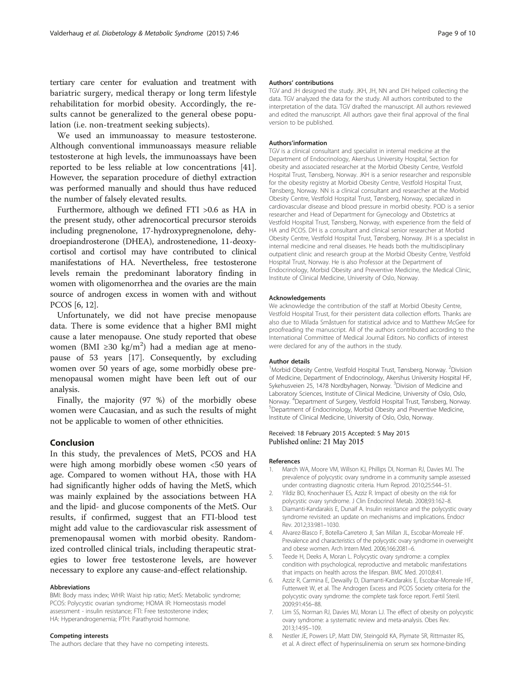<span id="page-8-0"></span>tertiary care center for evaluation and treatment with bariatric surgery, medical therapy or long term lifestyle rehabilitation for morbid obesity. Accordingly, the results cannot be generalized to the general obese population (i.e. non-treatment seeking subjects).

We used an immunoassay to measure testosterone. Although conventional immunoassays measure reliable testosterone at high levels, the immunoassays have been reported to be less reliable at low concentrations [\[41](#page-9-0)]. However, the separation procedure of diethyl extraction was performed manually and should thus have reduced the number of falsely elevated results.

Furthermore, although we defined FTI >0.6 as HA in the present study, other adrenocortical precursor steroids including pregnenolone, 17-hydroxypregnenolone, dehydroepiandrosterone (DHEA), androstenedione, 11-deoxycortisol and cortisol may have contributed to clinical manifestations of HA. Nevertheless, free testosterone levels remain the predominant laboratory finding in women with oligomenorrhea and the ovaries are the main source of androgen excess in women with and without PCOS [6, [12](#page-9-0)].

Unfortunately, we did not have precise menopause data. There is some evidence that a higher BMI might cause a later menopause. One study reported that obese women (BMI ≥30 kg/m<sup>2</sup>) had a median age at menopause of 53 years [\[17](#page-9-0)]. Consequently, by excluding women over 50 years of age, some morbidly obese premenopausal women might have been left out of our analysis.

Finally, the majority (97 %) of the morbidly obese women were Caucasian, and as such the results of might not be applicable to women of other ethnicities.

## Conclusion

In this study, the prevalences of MetS, PCOS and HA were high among morbidly obese women <50 years of age. Compared to women without HA, those with HA had significantly higher odds of having the MetS, which was mainly explained by the associations between HA and the lipid- and glucose components of the MetS. Our results, if confirmed, suggest that an FTI-blood test might add value to the cardiovascular risk assessment of premenopausal women with morbid obesity. Randomized controlled clinical trials, including therapeutic strategies to lower free testosterone levels, are however necessary to explore any cause-and-effect relationship.

#### Abbreviations

BMI: Body mass index; WHR: Waist hip ratio; MetS: Metabolic syndrome; PCOS: Polycystic ovarian syndrome; HOMA IR: Homeostasis model assessment - insulin resistance; FTI: Free testosterone index; HA: Hyperandrogenemia; PTH: Parathyroid hormone.

#### Competing interests

The authors declare that they have no competing interests.

#### Authors' contributions

TGV and JH designed the study. JKH, JH, NN and DH helped collecting the data. TGV analyzed the data for the study. All authors contributed to the interpretation of the data. TGV drafted the manuscript. All authors reviewed and edited the manuscript. All authors gave their final approval of the final version to be published.

#### Authors'information

TGV is a clinical consultant and specialist in internal medicine at the Department of Endocrinology, Akershus University Hospital, Section for obesity and associated researcher at the Morbid Obesity Centre, Vestfold Hospital Trust, Tønsberg, Norway. JKH is a senior researcher and responsible for the obesity registry at Morbid Obesity Centre, Vestfold Hospital Trust, Tønsberg, Norway. NN is a clinical consultant and researcher at the Morbid Obesity Centre, Vestfold Hospital Trust, Tønsberg, Norway, specialized in cardiovascular disease and blood pressure in morbid obesity. POD is a senior researcher and Head of Department for Gynecology and Obstetrics at Vestfold Hospital Trust, Tønsberg, Norway, with experience from the field of HA and PCOS. DH is a consultant and clinical senior researcher at Morbid Obesity Centre, Vestfold Hospital Trust, Tønsberg, Norway. JH is a specialist in internal medicine and renal diseases. He heads both the multidisciplinary outpatient clinic and research group at the Morbid Obesity Centre, Vestfold Hospital Trust, Norway. He is also Professor at the Department of Endocrinology, Morbid Obesity and Preventive Medicine, the Medical Clinic, Institute of Clinical Medicine, University of Oslo, Norway.

#### Acknowledgements

We acknowledge the contribution of the staff at Morbid Obesity Centre, Vestfold Hospital Trust, for their persistent data collection efforts. Thanks are also due to Milada Småstuen for statistical advice and to Matthew McGee for proofreading the manuscript. All of the authors contributed according to the International Committee of Medical Journal Editors. No conflicts of interest were declared for any of the authors in the study.

#### Author details

<sup>1</sup>Morbid Obesity Centre, Vestfold Hospital Trust, Tønsberg, Norway. <sup>2</sup>Division of Medicine, Department of Endocrinology, Akershus University Hospital HF, Sykehusveien 25, 1478 Nordbyhagen, Norway. <sup>3</sup>Division of Medicine and Laboratory Sciences, Institute of Clinical Medicine, University of Oslo, Oslo, Norway. <sup>4</sup>Department of Surgery, Vestfold Hospital Trust, Tønsberg, Norway.<br><sup>5</sup>Department of Endocrinology, Morbid Oberity and Proventive Medicine <sup>5</sup>Department of Endocrinology, Morbid Obesity and Preventive Medicine, Institute of Clinical Medicine, University of Oslo, Oslo, Norway.

#### Received: 18 February 2015 Accepted: 5 May 2015 Published online: 21 May 2015

#### References

- 1. March WA, Moore VM, Willson KJ, Phillips DI, Norman RJ, Davies MJ. The prevalence of polycystic ovary syndrome in a community sample assessed under contrasting diagnostic criteria. Hum Reprod. 2010;25:544–51.
- 2. Yildiz BO, Knochenhauer ES, Azziz R. Impact of obesity on the risk for polycystic ovary syndrome. J Clin Endocrinol Metab. 2008;93:162–8.
- 3. Diamanti-Kandarakis E, Dunaif A. Insulin resistance and the polycystic ovary syndrome revisited: an update on mechanisms and implications. Endocr Rev. 2012;33:981–1030.
- 4. Alvarez-Blasco F, Botella-Carretero JI, San Millan JL, Escobar-Morreale HF. Prevalence and characteristics of the polycystic ovary syndrome in overweight and obese women. Arch Intern Med. 2006;166:2081–6.
- 5. Teede H, Deeks A, Moran L. Polycystic ovary syndrome: a complex condition with psychological, reproductive and metabolic manifestations that impacts on health across the lifespan. BMC Med. 2010;8:41.
- 6. Azziz R, Carmina E, Dewailly D, Diamanti-Kandarakis E, Escobar-Morreale HF, Futterweit W, et al. The Androgen Excess and PCOS Society criteria for the polycystic ovary syndrome: the complete task force report. Fertil Steril. 2009;91:456–88.
- 7. Lim SS, Norman RJ, Davies MJ, Moran LJ. The effect of obesity on polycystic ovary syndrome: a systematic review and meta-analysis. Obes Rev. 2013;14:95–109.
- 8. Nestler JE, Powers LP, Matt DW, Steingold KA, Plymate SR, Rittmaster RS, et al. A direct effect of hyperinsulinemia on serum sex hormone-binding